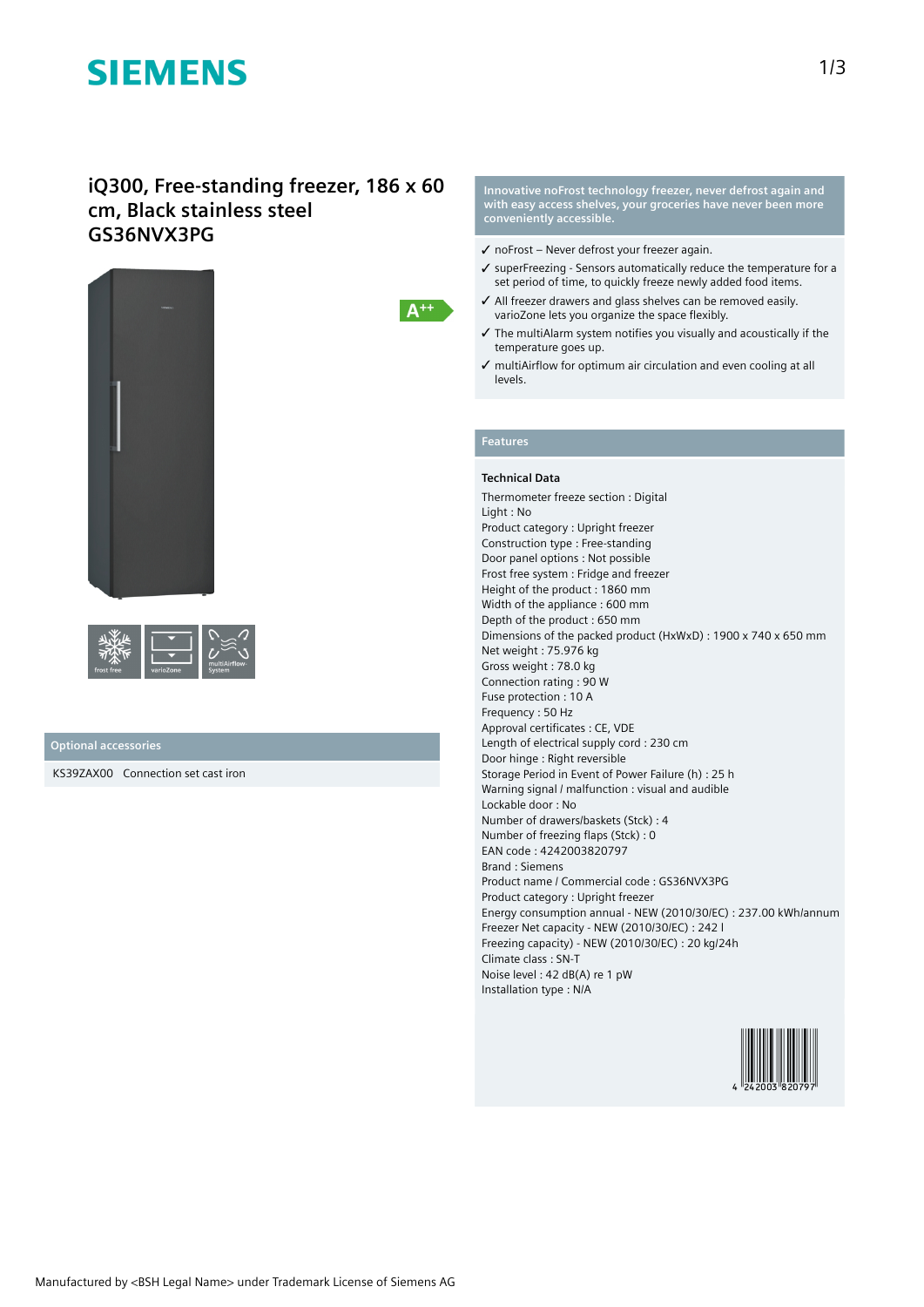# **SIEMENS**

## **iQ300, Free-standing freezer, 186 x 60 cm, Black stainless steel GS36NVX3PG**



| frost free | varioZone | multiAirflow-<br>System |
|------------|-----------|-------------------------|
|------------|-----------|-------------------------|

### **Optional accessories**

KS39ZAX00 Connection set cast iron

**Innovative noFrost technology freezer, never defrost again and with easy access shelves, your groceries have never been more conveniently accessible.**

- ✓ noFrost Never defrost your freezer again.
- ✓ superFreezing Sensors automatically reduce the temperature for a set period of time, to quickly freeze newly added food items.
- ✓ All freezer drawers and glass shelves can be removed easily. varioZone lets you organize the space flexibly.
- ✓ The multiAlarm system notifies you visually and acoustically if the temperature goes up.
- ✓ multiAirflow for optimum air circulation and even cooling at all levels.

## **Features**

 $A^{++}$ 

### **Technical Data**

Thermometer freeze section : Digital Light : No Product category : Upright freezer Construction type : Free-standing Door panel options : Not possible Frost free system : Fridge and freezer Height of the product : 1860 mm Width of the appliance : 600 mm Depth of the product : 650 mm Dimensions of the packed product (HxWxD) : 1900 x 740 x 650 mm Net weight : 75.976 kg Gross weight : 78.0 kg Connection rating : 90 W Fuse protection : 10 A Frequency : 50 Hz Approval certificates : CE, VDE Length of electrical supply cord : 230 cm Door hinge : Right reversible Storage Period in Event of Power Failure (h) : 25 h Warning signal / malfunction : visual and audible Lockable door : No Number of drawers/baskets (Stck) : 4 Number of freezing flaps (Stck) : 0 EAN code : 4242003820797 Brand : Siemens Product name / Commercial code : GS36NVX3PG Product category : Upright freezer Energy consumption annual - NEW (2010/30/EC) : 237.00 kWh/annum Freezer Net capacity - NEW (2010/30/EC) : 242 l Freezing capacity) - NEW (2010/30/EC) : 20 kg/24h Climate class : SN-T Noise level : 42 dB(A) re 1 pW Installation type : N/A

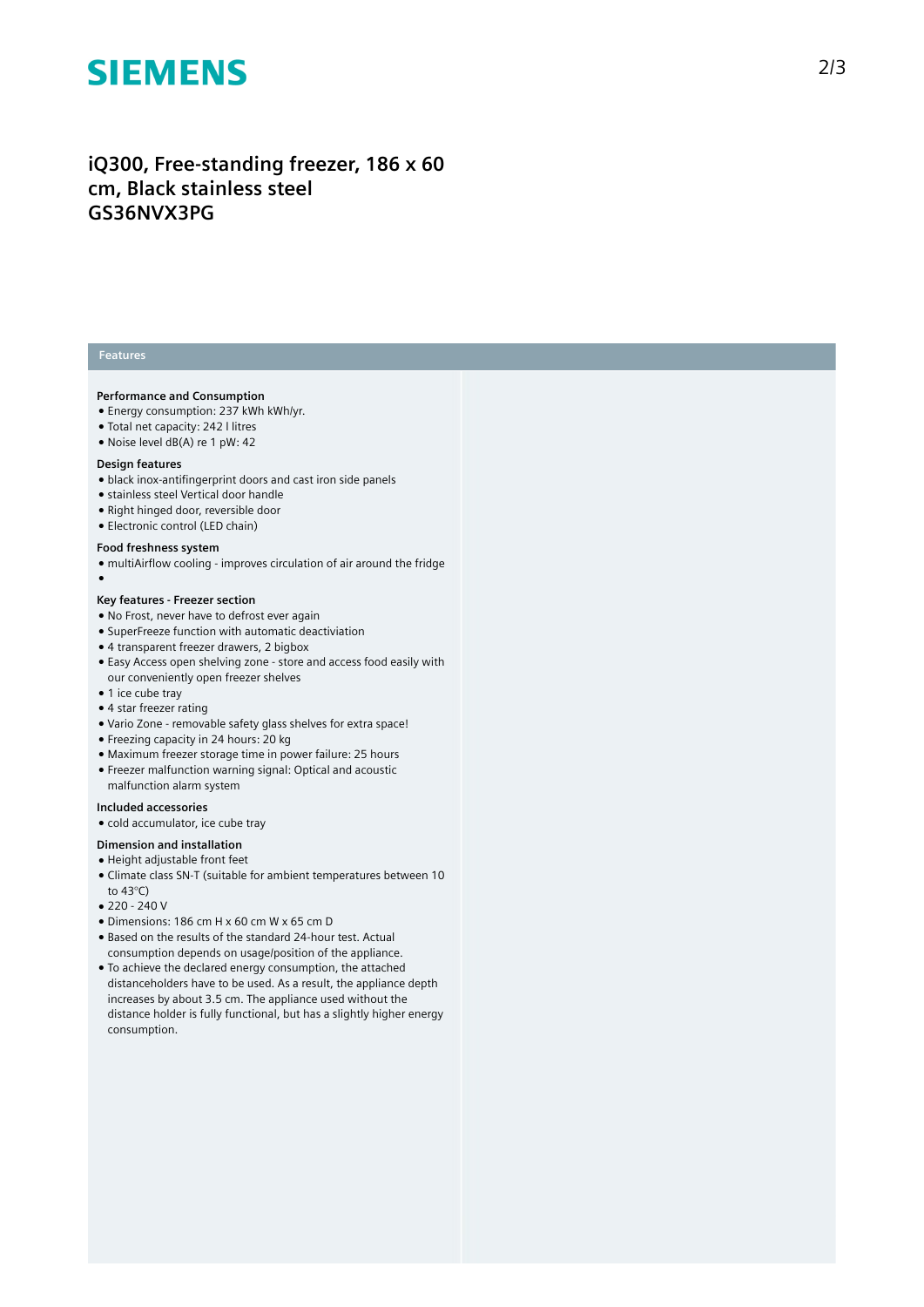# **SIEMENS**

## iQ300, Free-standing freezer, 186 x 60 cm, Black stainless steel **GS36NVX3PG**

### **Features**

#### **Performance and Consumption**

- Energy consumption: 237 kWh kWh/yr.
- Total net capacity: 242 l litres
- Noise level dB(A) re 1 pW: 42

#### Design features

- $\bullet$  black inox-antifingerprint doors and cast iron side panels
- stainless steel Vertical door handle
- Right hinged door, reversible door
- Electronic control (LED chain)

#### Food freshness system

- multiAirflow cooling improves circulation of air around the fridge
- $\overline{\phantom{a}}$

#### Key features - Freezer section

- No Frost, never have to defrost ever again
- SuperFreeze function with automatic deactiviation
- 4 transparent freezer drawers, 2 bigbox
- Easy Access open shelving zone store and access food easily with our conveniently open freezer shelves
- 1 ice cube tray
- 4 star freezer rating
- Vario Zone removable safety glass shelves for extra space!
- $\bullet$  Freezing capacity in 24 hours: 20 kg
- Maximum freezer storage time in power failure: 25 hours
- Freezer malfunction warning signal: Optical and acoustic malfunction alarm system

#### Included accessories

• cold accumulator, ice cube tray

#### **Dimension and installation**

- $\bullet$  Height adjustable front feet
- Climate class SN-T (suitable for ambient temperatures between 10 to 43°C)
- 220 240 V
- Dimensions: 186 cm H x 60 cm W x 65 cm D
- Based on the results of the standard 24-hour test. Actual consumption depends on usage/position of the applianc e .
- To achieve the declared energy consumption, the attached distanceholders have to be used. As a result, the appliance depth increases by about 3.5 cm. The appliance used without the distance holder is fully functional, but has a slightly higher energy consumption.